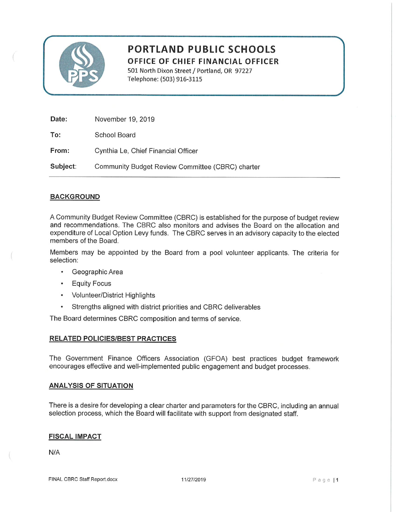

# **PORTLAND PUBLIC SCHOOLS** OFFICE OF CHIEF FINANCIAL OFFICER

501 North Dixon Street / Portland, OR 97227 Telephone: (503) 916-3115

| Date:    | November 19, 2019                                |
|----------|--------------------------------------------------|
| To:      | School Board                                     |
| From:    | Cynthia Le, Chief Financial Officer              |
| Subject: | Community Budget Review Committee (CBRC) charter |

## **BACKGROUND**

A Community Budget Review Committee (CBRC) is established for the purpose of budget review and recommendations. The CBRC also monitors and advises the Board on the allocation and expenditure of Local Option Levy funds. The CBRC serves in an advisory capacity to the elected members of the Board.

Members may be appointed by the Board from a pool volunteer applicants. The criteria for selection:

- Geographic Area  $\bullet$
- **Equity Focus**  $\bullet$
- Volunteer/District Highlights
- Strengths aligned with district priorities and CBRC deliverables  $\bullet$

The Board determines CBRC composition and terms of service.

## **RELATED POLICIES/BEST PRACTICES**

The Government Finance Officers Association (GFOA) best practices budget framework encourages effective and well-implemented public engagement and budget processes.

#### **ANALYSIS OF SITUATION**

There is a desire for developing a clear charter and parameters for the CBRC, including an annual selection process, which the Board will facilitate with support from designated staff.

## **FISCAL IMPACT**

 $N/A$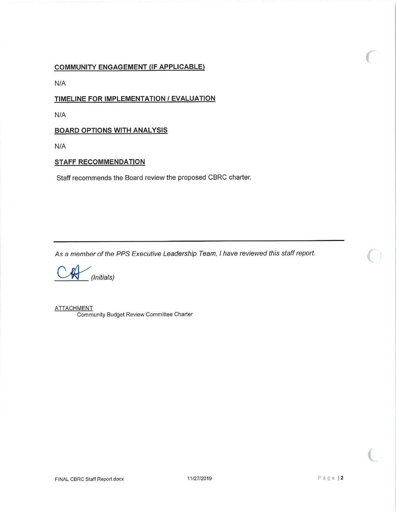## **COMMUNITY ENGAGEMENT (IF APPLICABLE)**

 $N/A$ 

## TIMELINE FOR IMPLEMENTATION / EVALUATION

 $N/A$ 

## **BOARD OPTIONS WITH ANALYSIS**

N/A

## **STAFF RECOMMENDATION**

Staff recommends the Board review the proposed CBRC charter.

As a member of the PPS Executive Leadership Team, I have reviewed this staff report.

 $\ell$ (Initials)

**ATTACHMENT** Community Budget Review Committee Charter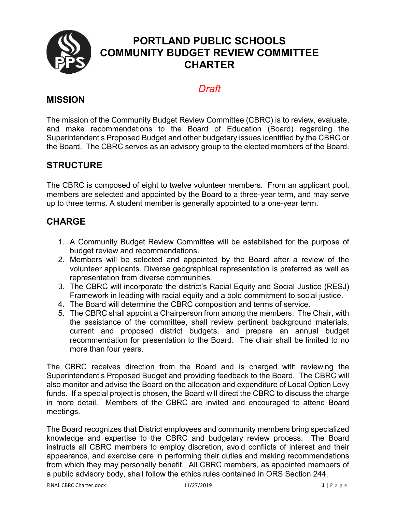

# **PORTLAND PUBLIC SCHOOLS COMMUNITY BUDGET REVIEW COMMITTEE CHARTER**

# *Draft*

## **MISSION**

The mission of the Community Budget Review Committee (CBRC) is to review, evaluate, and make recommendations to the Board of Education (Board) regarding the Superintendent's Proposed Budget and other budgetary issues identified by the CBRC or the Board. The CBRC serves as an advisory group to the elected members of the Board.

# **STRUCTURE**

The CBRC is composed of eight to twelve volunteer members. From an applicant pool, members are selected and appointed by the Board to a three-year term, and may serve up to three terms. A student member is generally appointed to a one-year term.

# **CHARGE**

- 1. A Community Budget Review Committee will be established for the purpose of budget review and recommendations.
- 2. Members will be selected and appointed by the Board after a review of the volunteer applicants. Diverse geographical representation is preferred as well as representation from diverse communities.
- 3. The CBRC will incorporate the district's Racial Equity and Social Justice (RESJ) Framework in leading with racial equity and a bold commitment to social justice.
- 4. The Board will determine the CBRC composition and terms of service.
- 5. The CBRC shall appoint a Chairperson from among the members. The Chair, with the assistance of the committee, shall review pertinent background materials, current and proposed district budgets, and prepare an annual budget recommendation for presentation to the Board. The chair shall be limited to no more than four years.

The CBRC receives direction from the Board and is charged with reviewing the Superintendent's Proposed Budget and providing feedback to the Board. The CBRC will also monitor and advise the Board on the allocation and expenditure of Local Option Levy funds. If a special project is chosen, the Board will direct the CBRC to discuss the charge in more detail. Members of the CBRC are invited and encouraged to attend Board meetings.

The Board recognizes that District employees and community members bring specialized knowledge and expertise to the CBRC and budgetary review process. The Board instructs all CBRC members to employ discretion, avoid conflicts of interest and their appearance, and exercise care in performing their duties and making recommendations from which they may personally benefit. All CBRC members, as appointed members of a public advisory body, shall follow the ethics rules contained in ORS Section 244.